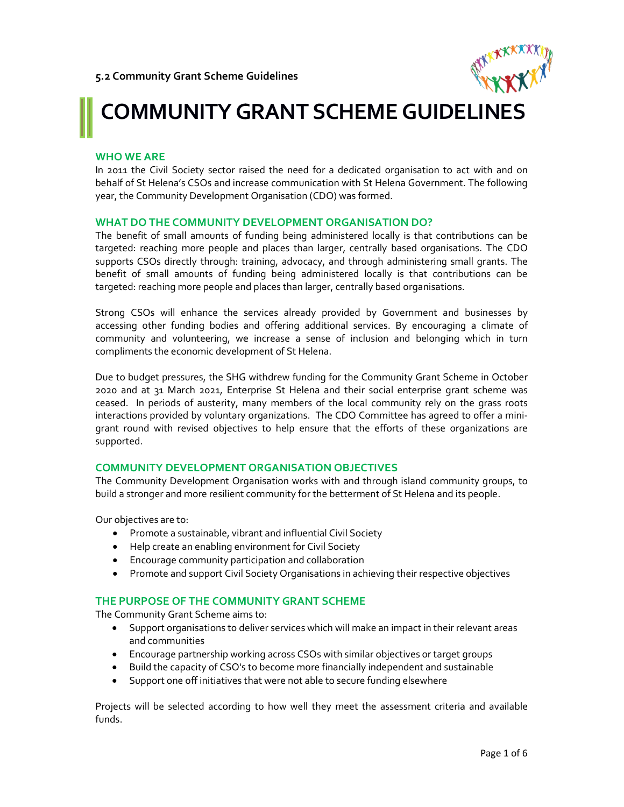

# COMMUNITY GRANT SCHEME GUIDELINES

### WHO WE ARE

In 2011 the Civil Society sector raised the need for a dedicated organisation to act with and on behalf of St Helena's CSOs and increase communication with St Helena Government. The following year, the Community Development Organisation (CDO) was formed. the Community behalf of St Helena's CSOs and increase communication with St Helena Government. The following<br>year, the Community Development Organisation (CDO) was formed.<br>**WHAT DO THE COMMUNITY DEVELOPMENT ORGANISATION DO?**<br>The benefit

# WHAT DO THE COMMUNITY DEVELOPMENT ORGANISATION DO?

targeted: reaching more people and places than larger, centrally based organisations. The CDO targeted: reaching more people and places than larger, centrally based organisations. The CDO<br>supports CSOs directly through: training, advocacy, and through administering small grants. The benefit of small amounts of funding being administered locally is that contributions can be targeted: reaching more people and places than larger, centrally based organisations. benefit of small amounts of funding being administered locally is that contributions can be<br>ted: reaching more people and places than larger, centrally based organisations. The CDO<br>orts CSOs directly through: training, adv

Strong CSOs will enhance the services already provided by Government and businesses by targeted: Strong enhance already accessing other funding bodies and offering additional services. By encouraging a climate of accessing other funding bodies and offering additional services. By encouraging a climate of<br>community and volunteering, we increase a sense of inclusion and belonging which in turn compliments the economic development of St Helena.

Due to budget pressures, the SHG withdrew funding for the Community Grant Scheme in October 2020 and at 31 March 2021, Enterprise St Helena and their social enterprise grant scheme was 2020 and at 31 March 2021, Enterprise St Helena and their social enterprise grant scheme was<br>ceased. In periods of austerity, many members of the local community rely on the grass roots ceased. In periods of austerity, many members of the local community rely on the grass roots<br>interactions provided by voluntary organizations. The CDO Committee has agreed to offer a minigrant round with revised objectives to help ensure that the efforts of these organizations are supported.

# COMMUNITY DEVELOPMENT ORGANISATION OBJECTIVES

The Community Development Organisation works with and through island community groups, to build a stronger and more resilient community for the betterment of St Helena and its people.

Our objectives are to:

- Promote a sustainable, vibrant and influential Civil Society
- Help create an enabling environment for Civil Society
- Encourage community participation and collaboration
- d a stronger and more resilient community for the betterment of St Helena and its people.<br>
 Promote a sustainable, vibrant and influential Civil Society<br>
 Help create an enabling environment for Civil Society<br>
 Encourag

# THE PURPOSE OF THE COMMUNITY GRANT SCHEME THE STATE OF THE COMMUNITY OR ANY SCHEME

The Community Grant Scheme aims to:

- $\bullet$  Support organisations to deliver services which will make an impact in their relevant areas and communities build a stronger and more resilient community for the betterment of St Helena and its peop<br>
Our objectives are to:<br>
• Promote a sustainable, vibrant and influential Civil Society<br>
• Help create an enabling environment for
	- Encourage partnership working across CSOs with similar objectives or target groups
	- Build the capacity of CSO's to become more financially independent and sustainable become financially initiatives that were not able to secure funding elsewhere
	- Support one off initiatives that were not able to secure funding elsewhere

Projects will be selected according to how well they meet the assessment criteria and available s funds.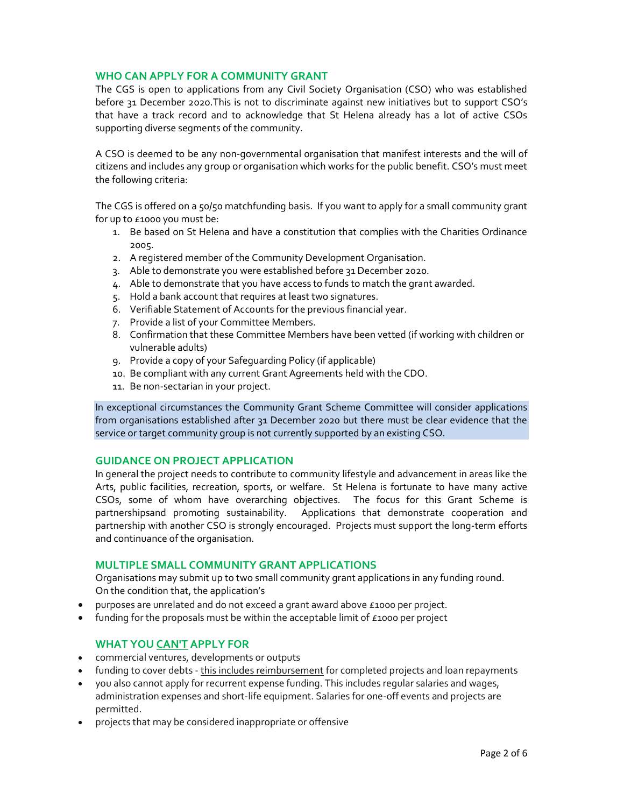## WHO CAN APPLY FOR A COMMUNITY GRANT

The CGS is open to applications from any Civil Society Organisation (CSO) who was established before 31 December 2020.This is not to discriminate against new initiatives but to support CSO's that have a track record and to acknowledge that St Helena already has a lot of active CSOs supporting diverse segments of the community.

A CSO is deemed to be any non-governmental organisation that manifest interests and the will of citizens and includes any group or organisation which works for the public benefit. CSO's must meet the following criteria:

The CGS is offered on a 50/50 matchfunding basis. If you want to apply for a small community grant for up to £1000 you must be:

- 1. Be based on St Helena and have a constitution that complies with the Charities Ordinance 2005.
- 2. A registered member of the Community Development Organisation.
- 3. Able to demonstrate you were established before 31 December 2020.
- 4. Able to demonstrate that you have access to funds to match the grant awarded.
- 5. Hold a bank account that requires at least two signatures.
- 6. Verifiable Statement of Accounts for the previous financial year.
- 7. Provide a list of your Committee Members.
- 8. Confirmation that these Committee Members have been vetted (if working with children or vulnerable adults)
- 9. Provide a copy of your Safeguarding Policy (if applicable)
- 10. Be compliant with any current Grant Agreements held with the CDO.
- 11. Be non-sectarian in your project.

In exceptional circumstances the Community Grant Scheme Committee will consider applications from organisations established after 31 December 2020 but there must be clear evidence that the service or target community group is not currently supported by an existing CSO.

#### GUIDANCE ON PROJECT APPLICATION

In general the project needs to contribute to community lifestyle and advancement in areas like the Arts, public facilities, recreation, sports, or welfare. St Helena is fortunate to have many active CSOs, some of whom have overarching objectives. The focus for this Grant Scheme is partnershipsand promoting sustainability. Applications that demonstrate cooperation and partnership with another CSO is strongly encouraged. Projects must support the long-term efforts and continuance of the organisation.

#### MULTIPLE SMALL COMMUNITY GRANT APPLICATIONS

Organisations may submit up to two small community grant applications in any funding round. On the condition that, the application's

- purposes are unrelated and do not exceed a grant award above £1000 per project.
- funding for the proposals must be within the acceptable limit of  $\epsilon$ 1000 per project

# WHAT YOU CAN'T APPLY FOR

- commercial ventures, developments or outputs
- funding to cover debts this includes reimbursement for completed projects and loan repayments
- you also cannot apply for recurrent expense funding. This includes regular salaries and wages, administration expenses and short-life equipment. Salaries for one-off events and projects are permitted.
- projects that may be considered inappropriate or offensive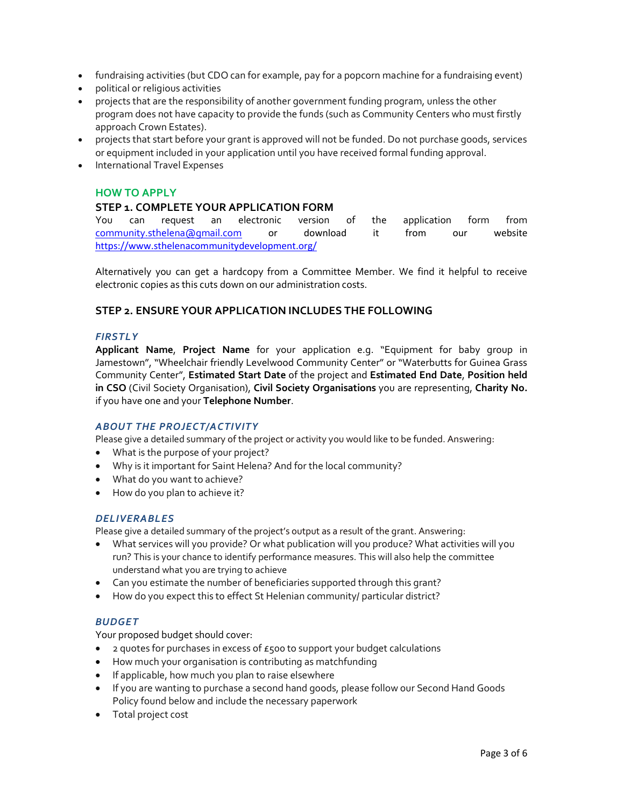- fundraising activities (but CDO can for example, pay for a popcorn machine for a fundraising event)
- political or religious activities
- projects that are the responsibility of another government funding program, unless the other program does not have capacity to provide the funds (such as Community Centers who must firstly approach Crown Estates).
- projects that start before your grant is approved will not be funded. Do not purchase goods, services or equipment included in your application until you have received formal funding approval.
- International Travel Expenses

# HOW TO APPLY

# STEP 1. COMPLETE YOUR APPLICATION FORM

You can request an electronic version of the application form from community.sthelena@gmail.com or download it from our website https://www.sthelenacommunitydevelopment.org/

Alternatively you can get a hardcopy from a Committee Member. We find it helpful to receive electronic copies as this cuts down on our administration costs.

# STEP 2. ENSURE YOUR APPLICATION INCLUDES THE FOLLOWING

#### **FIRSTLY**

Applicant Name, Project Name for your application e.g. "Equipment for baby group in Jamestown", "Wheelchair friendly Levelwood Community Center" or "Waterbutts for Guinea Grass Community Center", Estimated Start Date of the project and Estimated End Date, Position held in CSO (Civil Society Organisation), Civil Society Organisations you are representing, Charity No. if you have one and your Telephone Number.

#### ABOUT THE PROJECT/ACTIVITY

Please give a detailed summary of the project or activity you would like to be funded. Answering:

- What is the purpose of your project?
- Why is it important for Saint Helena? And for the local community?
- What do you want to achieve?
- How do you plan to achieve it?

# **DELIVERABLES**

Please give a detailed summary of the project's output as a result of the grant. Answering:

- What services will you provide? Or what publication will you produce? What activities will you run? This is your chance to identify performance measures. This will also help the committee understand what you are trying to achieve
- Can you estimate the number of beneficiaries supported through this grant?
- How do you expect this to effect St Helenian community/ particular district?

# BUDGET

Your proposed budget should cover:

- 2 quotes for purchases in excess of £500 to support your budget calculations
- How much your organisation is contributing as matchfunding
- **If applicable, how much you plan to raise elsewhere**
- If you are wanting to purchase a second hand goods, please follow our Second Hand Goods Policy found below and include the necessary paperwork
- Total project cost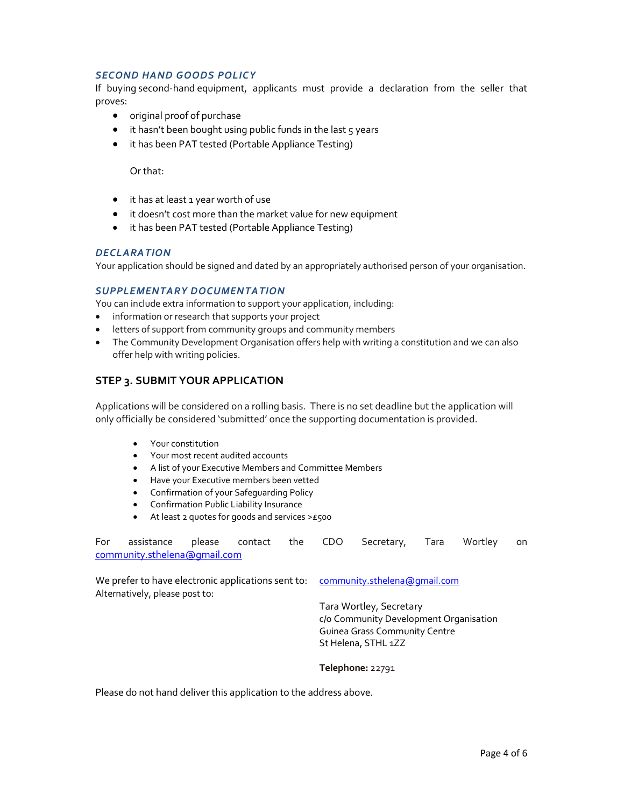### SECOND HAND GOODS POLICY

If buying second-hand equipment, applicants must provide a declaration from the seller that proves:

- original proof of purchase
- $\bullet$  it hasn't been bought using public funds in the last  $\zeta$  years
- it has been PAT tested (Portable Appliance Testing)

Or that:

- it has at least 1 year worth of use
- it doesn't cost more than the market value for new equipment
- it has been PAT tested (Portable Appliance Testing)

#### DECLARATION

Your application should be signed and dated by an appropriately authorised person of your organisation.

#### SUPPLEMENTARY DOCUMENTATION

You can include extra information to support your application, including:

- information or research that supports your project
- letters of support from community groups and community members
- The Community Development Organisation offers help with writing a constitution and we can also offer help with writing policies.

# STEP 3. SUBMIT YOUR APPLICATION

Applications will be considered on a rolling basis. There is no set deadline but the application will only officially be considered 'submitted' once the supporting documentation is provided.

- Your constitution
- Your most recent audited accounts
- A list of your Executive Members and Committee Members
- Have your Executive members been vetted
- Confirmation of your Safeguarding Policy
- Confirmation Public Liability Insurance
- $\bullet$  At least 2 quotes for goods and services >£500

For assistance please contact the CDO Secretary, Tara Wortley on community.sthelena@gmail.com

We prefer to have electronic applications sent to: community.sthelena@gmail.com Alternatively, please post to:

Tara Wortley, Secretary c/o Community Development Organisation Guinea Grass Community Centre St Helena, STHL 1ZZ

Telephone: 22791

Please do not hand deliver this application to the address above.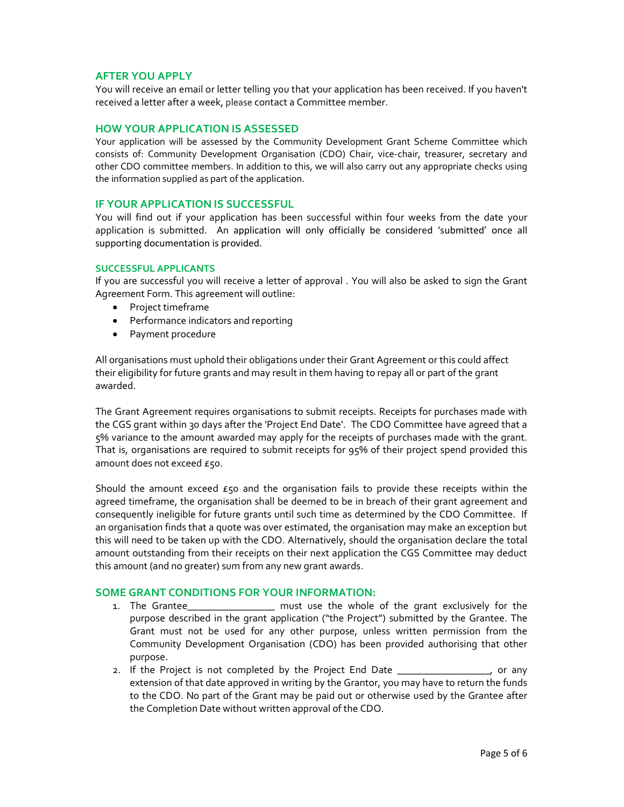#### AFTER YOU APPLY

You will receive an email or letter telling you that your application has been received. If you haven't received a letter after a week, please contact a Committee member.

#### HOW YOUR APPLICATION IS ASSESSED

Your application will be assessed by the Community Development Grant Scheme Committee which consists of: Community Development Organisation (CDO) Chair, vice-chair, treasurer, secretary and other CDO committee members. In addition to this, we will also carry out any appropriate checks using the information supplied as part of the application.

#### IF YOUR APPLICATION IS SUCCESSFUL

You will find out if your application has been successful within four weeks from the date your application is submitted. An application will only officially be considered 'submitted' once all supporting documentation is provided.

#### SUCCESSFUL APPLICANTS

If you are successful you will receive a letter of approval . You will also be asked to sign the Grant Agreement Form. This agreement will outline:

- Project timeframe
- Performance indicators and reporting
- Payment procedure

All organisations must uphold their obligations under their Grant Agreement or this could affect their eligibility for future grants and may result in them having to repay all or part of the grant awarded.

The Grant Agreement requires organisations to submit receipts. Receipts for purchases made with the CGS grant within 30 days after the 'Project End Date'. The CDO Committee have agreed that a 5% variance to the amount awarded may apply for the receipts of purchases made with the grant. That is, organisations are required to submit receipts for 95% of their project spend provided this amount does not exceed £50.

Should the amount exceed  $E$ 50 and the organisation fails to provide these receipts within the agreed timeframe, the organisation shall be deemed to be in breach of their grant agreement and consequently ineligible for future grants until such time as determined by the CDO Committee. If an organisation finds that a quote was over estimated, the organisation may make an exception but this will need to be taken up with the CDO. Alternatively, should the organisation declare the total amount outstanding from their receipts on their next application the CGS Committee may deduct this amount (and no greater) sum from any new grant awards.

#### SOME GRANT CONDITIONS FOR YOUR INFORMATION:

- 1. The Grantee\_\_\_\_\_\_\_\_\_\_\_\_\_\_\_\_\_ must use the whole of the grant exclusively for the purpose described in the grant application ("the Project") submitted by the Grantee. The Grant must not be used for any other purpose, unless written permission from the Community Development Organisation (CDO) has been provided authorising that other purpose.
- 2. If the Project is not completed by the Project End Date \_\_\_\_\_\_\_\_\_\_\_\_\_\_\_\_, or any extension of that date approved in writing by the Grantor, you may have to return the funds to the CDO. No part of the Grant may be paid out or otherwise used by the Grantee after the Completion Date without written approval of the CDO.